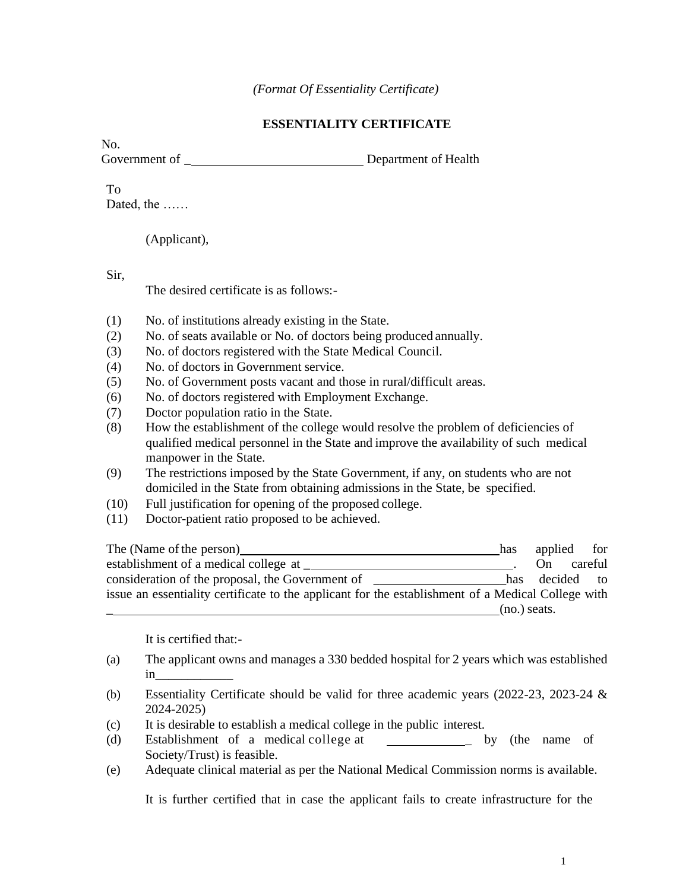## **ESSENTIALITY CERTIFICATE**

No. Government of **Containers** Department of Health

## To

Dated, the ……

(Applicant),

Sir,

The desired certificate is as follows:-

- (1) No. of institutions already existing in the State.
- (2) No. of seats available or No. of doctors being produced annually.
- (3) No. of doctors registered with the State Medical Council.
- (4) No. of doctors in Government service.
- (5) No. of Government posts vacant and those in rural/difficult areas.
- (6) No. of doctors registered with Employment Exchange.
- (7) Doctor population ratio in the State.
- (8) How the establishment of the college would resolve the problem of deficiencies of qualified medical personnel in the State and improve the availability of such medical manpower in the State.
- (9) The restrictions imposed by the State Government, if any, on students who are not domiciled in the State from obtaining admissions in the State, be specified.
- (10) Full justification for opening of the proposed college.
- (11) Doctor-patient ratio proposed to be achieved.

The (Name ofthe person) has applied for establishment of a medical college at \_\_\_\_\_\_\_\_\_\_\_\_\_\_\_\_\_\_\_\_\_\_\_\_\_\_\_\_\_\_\_\_. On careful consideration of the proposal, the Government of \_\_\_\_\_\_\_\_\_\_\_\_\_\_\_\_\_\_\_\_\_\_\_\_has decided to issue an essentiality certificate to the applicant for the establishment of a Medical College with  $(no.)$  seats.

It is certified that:-

- (a) The applicant owns and manages a 330 bedded hospital for 2 years which was established in\_\_\_\_\_\_\_\_\_\_\_\_
- (b) Essentiality Certificate should be valid for three academic years (2022-23, 2023-24 & 2024-2025)
- (c) It is desirable to establish a medical college in the public interest.
- (d) Establishment of a medical college at \_ by (the name of Society/Trust) is feasible.
- (e) Adequate clinical material as per the National Medical Commission norms is available.

It is further certified that in case the applicant fails to create infrastructure for the